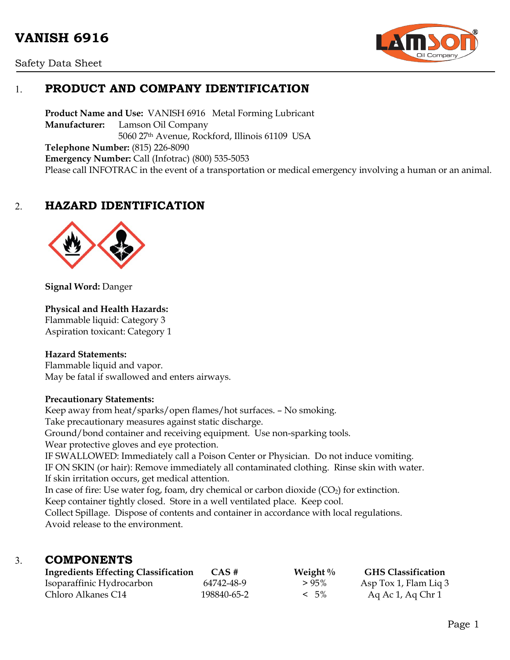# **VANISH 6916**





# 1. **PRODUCT AND COMPANY IDENTIFICATION**

**Product Name and Use:** VANISH 6916 Metal Forming Lubricant **Manufacturer:** Lamson Oil Company 5060 27th Avenue, Rockford, Illinois 61109 USA **Telephone Number:** (815) 226-8090 **Emergency Number:** Call (Infotrac) (800) 535-5053 Please call INFOTRAC in the event of a transportation or medical emergency involving a human or an animal.

## 2. **HAZARD IDENTIFICATION**



**Signal Word:** Danger

#### **Physical and Health Hazards:**

Flammable liquid: Category 3 Aspiration toxicant: Category 1

#### **Hazard Statements:**

Flammable liquid and vapor. May be fatal if swallowed and enters airways.

#### **Precautionary Statements:**

Keep away from heat/sparks/open flames/hot surfaces. – No smoking. Take precautionary measures against static discharge. Ground/bond container and receiving equipment. Use non-sparking tools. Wear protective gloves and eye protection. IF SWALLOWED: Immediately call a Poison Center or Physician. Do not induce vomiting. IF ON SKIN (or hair): Remove immediately all contaminated clothing. Rinse skin with water. If skin irritation occurs, get medical attention. In case of fire: Use water fog, foam, dry chemical or carbon dioxide  $(CO<sub>2</sub>)$  for extinction. Keep container tightly closed. Store in a well ventilated place. Keep cool. Collect Spillage. Dispose of contents and container in accordance with local regulations. Avoid release to the environment.

### 3. **COMPONENTS**

| <b>Ingredients Effecting Classification</b> | CAS#        | Weight $\%$ | <b>GHS Classification</b> |
|---------------------------------------------|-------------|-------------|---------------------------|
| Isoparaffinic Hydrocarbon                   | 64742-48-9  | $>95\%$     | Asp Tox 1, Flam Liq 3     |
| Chloro Alkanes C14                          | 198840-65-2 | $< 5\%$     | Aq Ac 1, Aq Chr 1         |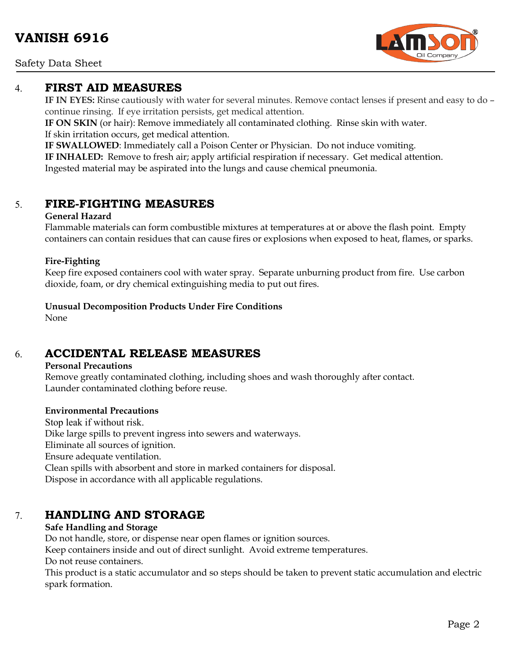Safety Data Sheet

### 4. **FIRST AID MEASURES**

**IF IN EYES:** Rinse cautiously with water for several minutes. Remove contact lenses if present and easy to do – continue rinsing. If eye irritation persists, get medical attention.

**IF ON SKIN** (or hair): Remove immediately all contaminated clothing. Rinse skin with water. If skin irritation occurs, get medical attention.

**IF SWALLOWED**: Immediately call a Poison Center or Physician. Do not induce vomiting.

**IF INHALED:** Remove to fresh air; apply artificial respiration if necessary. Get medical attention. Ingested material may be aspirated into the lungs and cause chemical pneumonia.

# 5. **FIRE-FIGHTING MEASURES**

#### **General Hazard**

Flammable materials can form combustible mixtures at temperatures at or above the flash point. Empty containers can contain residues that can cause fires or explosions when exposed to heat, flames, or sparks.

### **Fire-Fighting**

Keep fire exposed containers cool with water spray. Separate unburning product from fire. Use carbon dioxide, foam, or dry chemical extinguishing media to put out fires.

**Unusual Decomposition Products Under Fire Conditions**

None

# 6. **ACCIDENTAL RELEASE MEASURES**

#### **Personal Precautions**

Remove greatly contaminated clothing, including shoes and wash thoroughly after contact. Launder contaminated clothing before reuse.

#### **Environmental Precautions**

Stop leak if without risk. Dike large spills to prevent ingress into sewers and waterways. Eliminate all sources of ignition. Ensure adequate ventilation. Clean spills with absorbent and store in marked containers for disposal. Dispose in accordance with all applicable regulations.

# 7. **HANDLING AND STORAGE**

### **Safe Handling and Storage**

Do not handle, store, or dispense near open flames or ignition sources.

Keep containers inside and out of direct sunlight. Avoid extreme temperatures.

Do not reuse containers.

This product is a static accumulator and so steps should be taken to prevent static accumulation and electric spark formation.

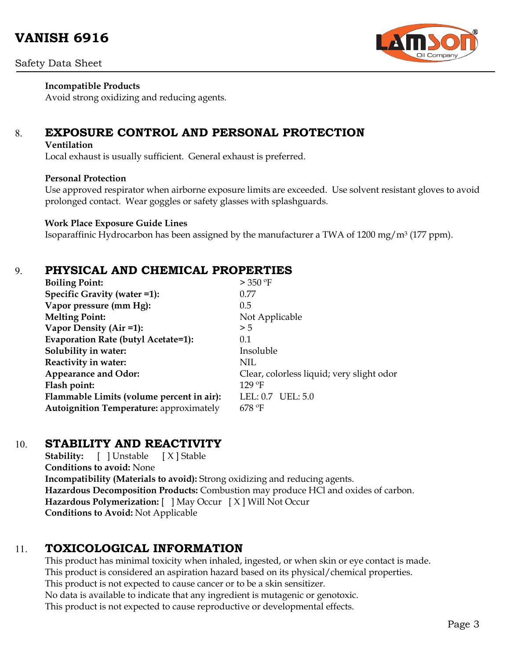

### **Incompatible Products**

Avoid strong oxidizing and reducing agents.

# 8. **EXPOSURE CONTROL AND PERSONAL PROTECTION**

#### **Ventilation**

Local exhaust is usually sufficient. General exhaust is preferred.

#### **Personal Protection**

Use approved respirator when airborne exposure limits are exceeded. Use solvent resistant gloves to avoid prolonged contact. Wear goggles or safety glasses with splashguards.

#### **Work Place Exposure Guide Lines**

Isoparaffinic Hydrocarbon has been assigned by the manufacturer a TWA of 1200 mg/m3 (177 ppm).

### 9. **PHYSICAL AND CHEMICAL PROPERTIES**

| <b>Boiling Point:</b>                          | $>$ 350 °F                                |
|------------------------------------------------|-------------------------------------------|
| Specific Gravity (water =1):                   | 0.77                                      |
| Vapor pressure (mm Hg):                        | 0.5                                       |
| <b>Melting Point:</b>                          | Not Applicable                            |
| Vapor Density (Air =1):                        | > 5                                       |
| <b>Evaporation Rate (butyl Acetate=1):</b>     | 0.1                                       |
| Solubility in water:                           | Insoluble                                 |
| Reactivity in water:                           | NIL                                       |
| <b>Appearance and Odor:</b>                    | Clear, colorless liquid; very slight odor |
| Flash point:                                   | $129$ °F                                  |
| Flammable Limits (volume percent in air):      | LEL: 0.7 UEL: 5.0                         |
| <b>Autoignition Temperature: approximately</b> | $678$ °F                                  |

### 10. **STABILITY AND REACTIVITY**

**Stability:** [ ] Unstable [ X ] Stable **Conditions to avoid:** None **Incompatibility (Materials to avoid):** Strong oxidizing and reducing agents. **Hazardous Decomposition Products:** Combustion may produce HCl and oxides of carbon. **Hazardous Polymerization:** [ ] May Occur [ X ] Will Not Occur **Conditions to Avoid:** Not Applicable

### 11. **TOXICOLOGICAL INFORMATION**

This product has minimal toxicity when inhaled, ingested, or when skin or eye contact is made. This product is considered an aspiration hazard based on its physical/chemical properties. This product is not expected to cause cancer or to be a skin sensitizer. No data is available to indicate that any ingredient is mutagenic or genotoxic. This product is not expected to cause reproductive or developmental effects.